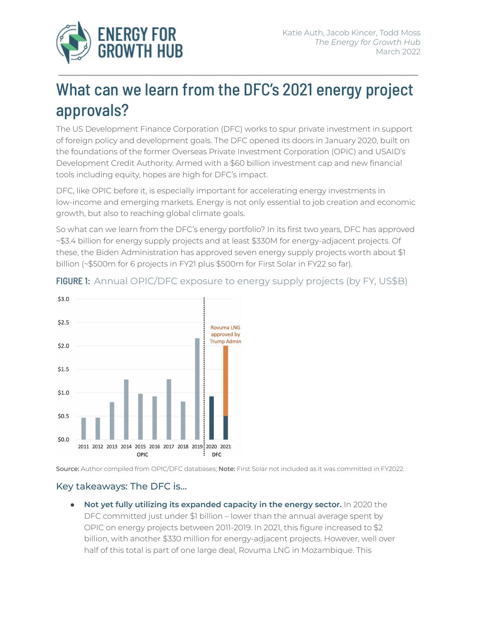

# What can we learn from the DFC's 2021 energy project approvals?

The US Development Finance Corporation (DFC) works to spur private investment in support of foreign policy and development goals. The DFC opened its doors in January 2020, built on the foundations of the former Overseas Private Investment Corporation (OPIC) and USAID's Development Credit Authority. Armed with a \$60 billion investment cap and new financial tools including equity, hopes are high for DFC's impact.

DFC, like OPIC before it, is especially important for accelerating energy investments in low-income and emerging markets. Energy is not only essential to job creation and economic growth, but also to reaching global climate goals.

So what can we learn from the DFC's energy portfolio? In its first two years, DFC has approved ~\$3.4 billion for energy supply projects and at least \$330M for energy-adjacent projects. Of these, the Biden Administration has approved seven energy supply projects worth about \$1 billion (~\$500m for 6 projects in FY21 plus \$500m for First Solar in FY22 so far).



#### FIGURE 1: Annual OPIC/DFC exposure to energy supply projects (by FY, US\$B)

Source: Author compiled from OPIC/DFC databases; Note: First Solar not included as it was committed in FY2022.

#### Key takeaways: The DFC is…

● **Not yet fully utilizing its expanded capacity in the energy sector.** In 2020 the DFC committed just under \$1 billion – lower than the annual average spent by OPIC on energy projects between 2011-2019. In 2021, this figure increased to \$2 billion, with another \$330 million for energy-adjacent projects. However, well over half of this total is part of one large deal, Rovuma LNG in Mozambique. This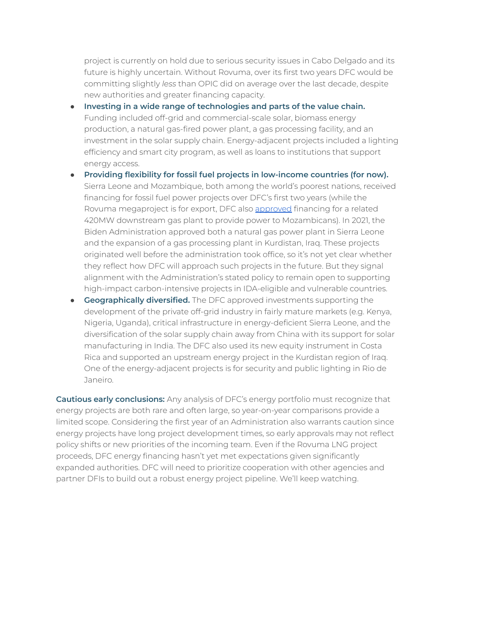project is currently on hold due to serious security issues in Cabo Delgado and its future is highly uncertain. Without Rovuma, over its first two years DFC would be committing slightly *less* than OPIC did on average over the last decade, despite new authorities and greater financing capacity.

- **Investing in a wide range of technologies and parts of the value chain.** Funding included off-grid and commercial-scale solar, biomass energy production, a natural gas-fired power plant, a gas processing facility, and an investment in the solar supply chain. Energy-adjacent projects included a lighting efficiency and smart city program, as well as loans to institutions that support energy access.
- **Providing flexibility for fossil fuel projects in low-income countries (for now).** Sierra Leone and Mozambique, both among the world's poorest nations, received financing for fossil fuel power projects over DFC's first two years (while the Rovuma megaproject is for export, DFC also [approved](https://www.energyforgrowth.org/blog/how-the-dfcs-new-energy-investments-in-mozambique-show-the-agencys-balanced-approach/) financing for a related 420MW downstream gas plant to provide power to Mozambicans). In 2021, the Biden Administration approved both a natural gas power plant in Sierra Leone and the expansion of a gas processing plant in Kurdistan, Iraq. These projects originated well before the administration took office, so it's not yet clear whether they reflect how DFC will approach such projects in the future. But they signal alignment with the Administration's stated policy to remain open to supporting high-impact carbon-intensive projects in IDA-eligible and vulnerable countries.
- **● Geographically diversified.** The DFC approved investments supporting the development of the private off-grid industry in fairly mature markets (e.g. Kenya, Nigeria, Uganda), critical infrastructure in energy-deficient Sierra Leone, and the diversification of the solar supply chain away from China with its support for solar manufacturing in India. The DFC also used its new equity instrument in Costa Rica and supported an upstream energy project in the Kurdistan region of Iraq. One of the energy-adjacent projects is for security and public lighting in Rio de Janeiro.

**Cautious early conclusions:** Any analysis of DFC's energy portfolio must recognize that energy projects are both rare and often large, so year-on-year comparisons provide a limited scope. Considering the first year of an Administration also warrants caution since energy projects have long project development times, so early approvals may not reflect policy shifts or new priorities of the incoming team. Even if the Rovuma LNG project proceeds, DFC energy financing hasn't yet met expectations given significantly expanded authorities. DFC will need to prioritize cooperation with other agencies and partner DFIs to build out a robust energy project pipeline. We'll keep watching.